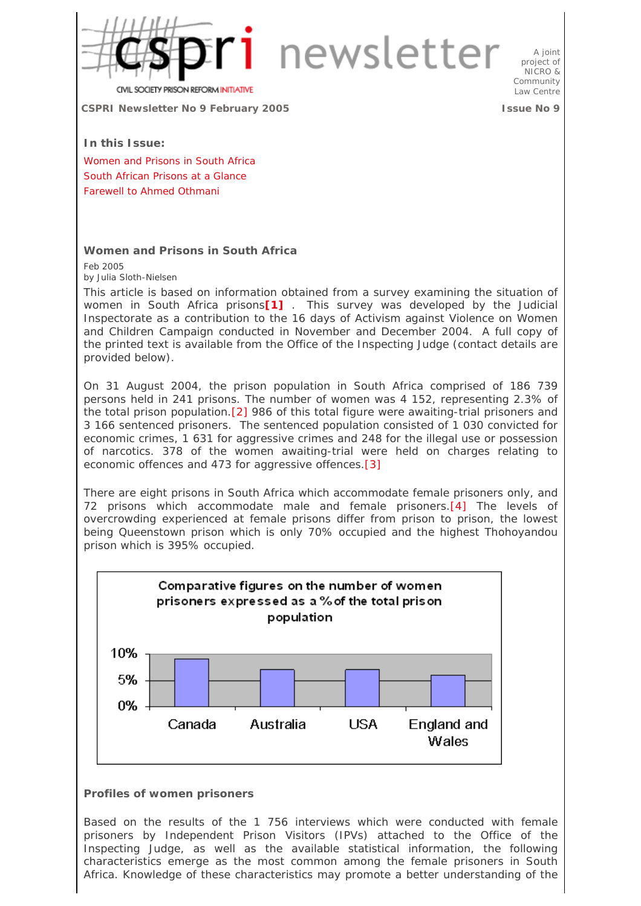

A joint project of NICRO & Community Law Centre

**OCIETY PRISON REFORM INITIATIVE** 

**CSPRI Newsletter No 9 February 2005 Issue No 9**

**In this Issue:** 

Women and Prisons in South Africa South African Prisons at a Glance Farewell to Ahmed Othmani

## **Women and Prisons in South Africa**

Feb 2005 by Julia Sloth-Nielsen

This article is based on information obtained from a survey examining the situation of women in South Africa prisons**[1]** . This survey was developed by the Judicial Inspectorate as a contribution to the 16 days of Activism against Violence on Women and Children Campaign conducted in November and December 2004. A full copy of the printed text is available from the Office of the Inspecting Judge (contact details are provided below).

On 31 August 2004, the prison population in South Africa comprised of 186 739 persons held in 241 prisons. The number of women was 4 152, representing 2.3% of the total prison population.[2] 986 of this total figure were awaiting-trial prisoners and 3 166 sentenced prisoners. The sentenced population consisted of 1 030 convicted for economic crimes, 1 631 for aggressive crimes and 248 for the illegal use or possession of narcotics. 378 of the women awaiting-trial were held on charges relating to economic offences and 473 for aggressive offences.[3]

There are eight prisons in South Africa which accommodate female prisoners only, and 72 prisons which accommodate male and female prisoners.[4] The levels of overcrowding experienced at female prisons differ from prison to prison, the lowest being Queenstown prison which is only 70% occupied and the highest Thohoyandou prison which is 395% occupied.



## **Profiles of women prisoners**

Based on the results of the 1 756 interviews which were conducted with female prisoners by Independent Prison Visitors (IPVs) attached to the Office of the Inspecting Judge, as well as the available statistical information, the following characteristics emerge as the most common among the female prisoners in South Africa. Knowledge of these characteristics may promote a better understanding of the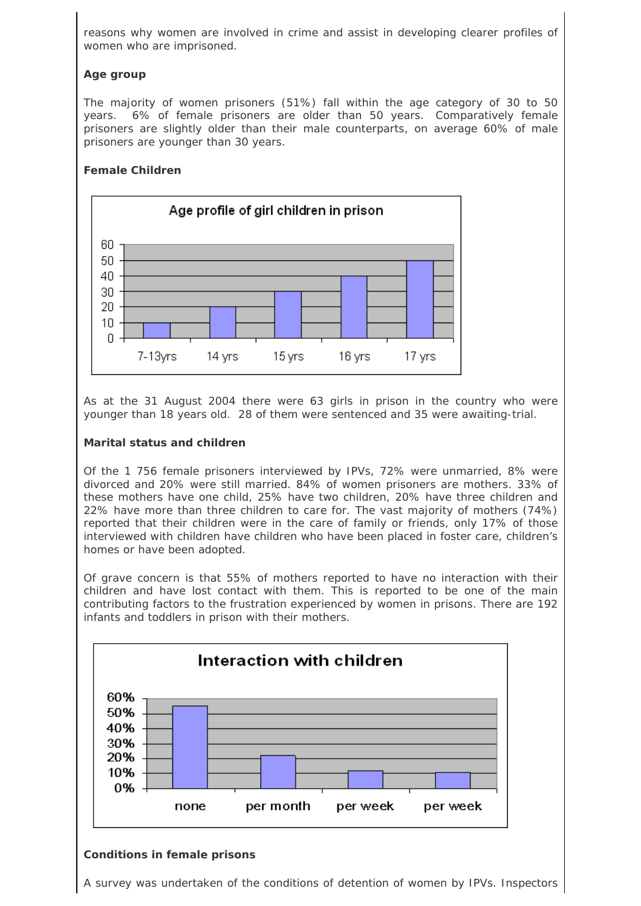reasons why women are involved in crime and assist in developing clearer profiles of women who are imprisoned.

# **Age group**

The majority of women prisoners (51%) fall within the age category of 30 to 50 years. 6% of female prisoners are older than 50 years. Comparatively female prisoners are slightly older than their male counterparts, on average 60% of male prisoners are younger than 30 years.

# **Female Children**



As at the 31 August 2004 there were 63 girls in prison in the country who were younger than 18 years old. 28 of them were sentenced and 35 were awaiting-trial.

## **Marital status and children**

Of the 1 756 female prisoners interviewed by IPVs, 72% were unmarried, 8% were divorced and 20% were still married. 84% of women prisoners are mothers. 33% of these mothers have one child, 25% have two children, 20% have three children and 22% have more than three children to care for. The vast majority of mothers (74%) reported that their children were in the care of family or friends, only 17% of those interviewed with children have children who have been placed in foster care, children's homes or have been adopted.

Of grave concern is that 55% of mothers reported to have no interaction with their children and have lost contact with them. This is reported to be one of the main contributing factors to the frustration experienced by women in prisons. There are 192 infants and toddlers in prison with their mothers.



# **Conditions in female prisons**

A survey was undertaken of the conditions of detention of women by IPVs. Inspectors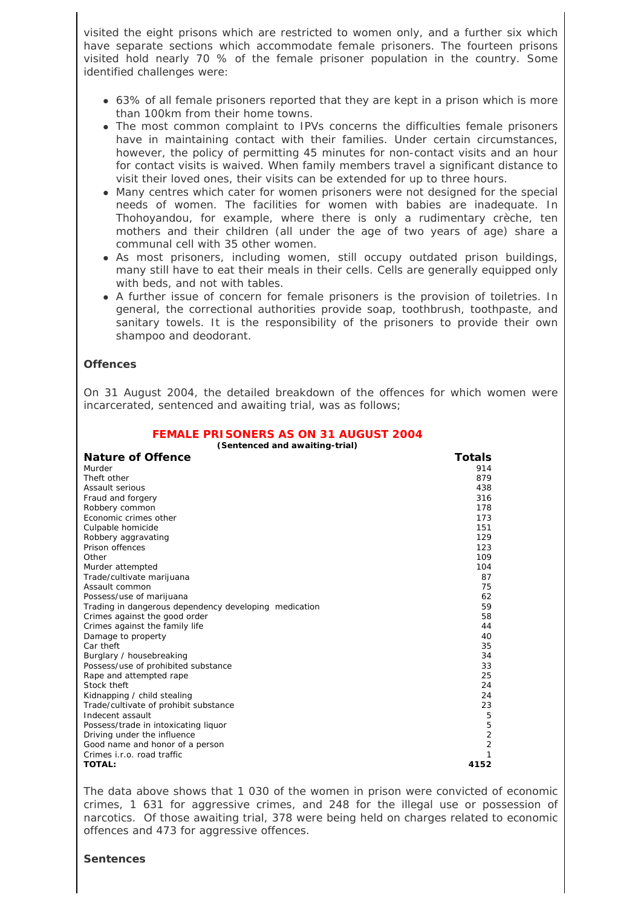visited the eight prisons which are restricted to women only, and a further six which have separate sections which accommodate female prisoners. The fourteen prisons visited hold nearly 70 % of the female prisoner population in the country. Some identified challenges were:

- 63% of all female prisoners reported that they are kept in a prison which is more than 100km from their home towns.
- The most common complaint to IPVs concerns the difficulties female prisoners have in maintaining contact with their families. Under certain circumstances, however, the policy of permitting 45 minutes for non-contact visits and an hour for contact visits is waived. When family members travel a significant distance to visit their loved ones, their visits can be extended for up to three hours.
- Many centres which cater for women prisoners were not designed for the special needs of women. The facilities for women with babies are inadequate. In Thohoyandou, for example, where there is only a rudimentary crèche, ten mothers and their children (all under the age of two years of age) share a communal cell with 35 other women.
- As most prisoners, including women, still occupy outdated prison buildings, many still have to eat their meals in their cells. Cells are generally equipped only with beds, and not with tables.
- A further issue of concern for female prisoners is the provision of toiletries. In general, the correctional authorities provide soap, toothbrush, toothpaste, and sanitary towels. It is the responsibility of the prisoners to provide their own shampoo and deodorant.

## **Offences**

On 31 August 2004, the detailed breakdown of the offences for which women were incarcerated, sentenced and awaiting trial, was as follows;

| (Sentenced and awaiting-trial)                        |                |  |  |
|-------------------------------------------------------|----------------|--|--|
| <b>Nature of Offence</b>                              | Totals         |  |  |
| Murder                                                | 914            |  |  |
| Theft other                                           | 879            |  |  |
| Assault serious                                       | 438            |  |  |
| Fraud and forgery                                     | 316            |  |  |
| Robbery common                                        | 178            |  |  |
| Economic crimes other                                 | 173            |  |  |
| Culpable homicide                                     | 151            |  |  |
| Robbery aggravating                                   | 129            |  |  |
| Prison offences                                       | 123            |  |  |
| Other                                                 | 109            |  |  |
| Murder attempted                                      | 104            |  |  |
| Trade/cultivate marijuana                             | 87             |  |  |
| Assault common                                        | 75             |  |  |
| Possess/use of marijuana                              | 62             |  |  |
| Trading in dangerous dependency developing medication | 59             |  |  |
| Crimes against the good order                         | 58             |  |  |
| Crimes against the family life                        | 44             |  |  |
| Damage to property                                    | 40             |  |  |
| Car theft                                             | 35             |  |  |
| Burglary / housebreaking                              | 34             |  |  |
| Possess/use of prohibited substance                   | 33             |  |  |
| Rape and attempted rape                               | 25             |  |  |
| Stock theft                                           | 24             |  |  |
| Kidnapping / child stealing                           | 24             |  |  |
| Trade/cultivate of prohibit substance                 | 23             |  |  |
| Indecent assault                                      | 5              |  |  |
| Possess/trade in intoxicating liquor                  | 5              |  |  |
| Driving under the influence                           | $\overline{2}$ |  |  |
| Good name and honor of a person                       | $\overline{2}$ |  |  |
| Crimes <i>i.r.o.</i> road traffic                     | 1              |  |  |
| <b>TOTAL:</b>                                         | 4152           |  |  |

The data above shows that 1 030 of the women in prison were convicted of economic crimes, 1 631 for aggressive crimes, and 248 for the illegal use or possession of narcotics. Of those awaiting trial, 378 were being held on charges related to economic offences and 473 for aggressive offences.

#### **Sentences**

# **FEMALE PRISONERS AS ON 31 AUGUST 2004**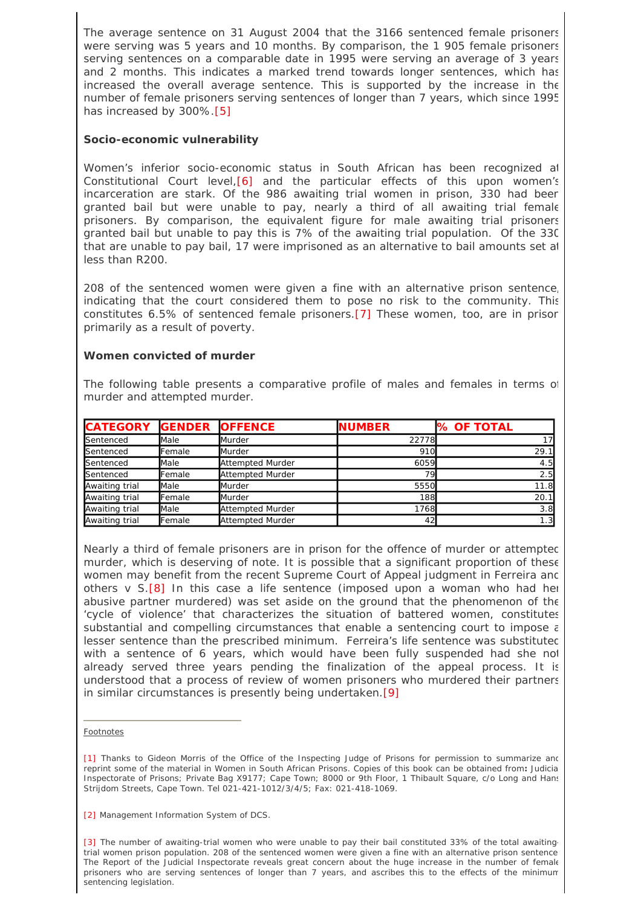The average sentence on 31 August 2004 that the 3166 sentenced female prisoners were serving was 5 years and 10 months. By comparison, the 1 905 female prisoners serving sentences on a comparable date in 1995 were serving an average of 3 years and 2 months. This indicates a marked trend towards longer sentences, which has increased the overall average sentence. This is supported by the increase in the number of female prisoners serving sentences of longer than 7 years, which since 1995 has increased by 300%.[5]

## **Socio-economic vulnerability**

Women's inferior socio-economic status in South African has been recognized at Constitutional Court level,[6] and the particular effects of this upon women's incarceration are stark. Of the 986 awaiting trial women in prison, 330 had beer granted bail but were unable to pay, nearly a third of all awaiting trial female prisoners. By comparison, the equivalent figure for male awaiting trial prisoners granted bail but unable to pay this is 7% of the awaiting trial population. Of the 330 that are unable to pay bail, 17 were imprisoned as an alternative to bail amounts set at less than R200.

208 of the sentenced women were given a fine with an alternative prison sentence, indicating that the court considered them to pose no risk to the community. This constitutes 6.5% of sentenced female prisoners.[7] These women, too, are in prison primarily as a result of poverty.

## **Women convicted of murder**

The following table presents a comparative profile of males and females in terms of murder and attempted murder.

| <b>CATEGORY</b>  | <b>GENDER</b> | <b>OFFENCE</b>          | <b>NUMBER</b> | <b>X OF TOTAL</b> |
|------------------|---------------|-------------------------|---------------|-------------------|
| <b>Sentenced</b> | <b>Male</b>   | <b>Murder</b>           | 22778         |                   |
| <b>Sentenced</b> | Female        | <b>Murder</b>           | 910           | 29.1              |
| <b>Sentenced</b> | Male          | Attempted Murder        | 6059          | 4.5               |
| <b>Sentenced</b> | Female        | Attempted Murder        | 791           | 2.5               |
| Awaiting trial   | Male          | <b>Murder</b>           | 5550          | 11.8              |
| Awaiting trial   | Female        | <b>Murder</b>           | 188           | 20.1              |
| Awaiting trial   | Male          | <b>Attempted Murder</b> | 1768          | 3.8               |
| Awaiting trial   | Female        | Attempted Murder        | 42            | . . 3∎            |

Nearly a third of female prisoners are in prison for the offence of murder or attempted murder, which is deserving of note. It is possible that a significant proportion of these women may benefit from the recent Supreme Court of Appeal judgment in *Ferreira and others* v *S*.[8] In this case a life sentence (imposed upon a woman who had her abusive partner murdered) was set aside on the ground that the phenomenon of the 'cycle of violence' that characterizes the situation of battered women, constitutes substantial and compelling circumstances that enable a sentencing court to impose  $\varepsilon$ lesser sentence than the prescribed minimum. *Ferreira's* life sentence was substituted with a sentence of 6 years, which would have been fully suspended had she not already served three years pending the finalization of the appeal process. It is understood that a process of review of women prisoners who murdered their partners in similar circumstances is presently being undertaken.[9]

## **Footnotes**

[1] Thanks to Gideon Morris of the Office of the Inspecting Judge of Prisons for permission to summarize and reprint some of the material in Women in South African Prisons. Copies of this book can be obtained from**:** Judicia Inspectorate of Prisons; Private Bag X9177; Cape Town; 8000 or 9th Floor, 1 Thibault Square, c/o Long and Hans Strijdom Streets, Cape Town. Tel 021-421-1012/3/4/5; Fax: 021-418-1069.

[2] Management Information System of DCS.

[3] The number of awaiting-trial women who were unable to pay their bail constituted 33% of the total awaitingtrial women prison population. 208 of the sentenced women were given a fine with an alternative prison sentence The Report of the Judicial Inspectorate reveals great concern about the huge increase in the number of female prisoners who are serving sentences of longer than 7 years, and ascribes this to the effects of the minimum sentencing legislation.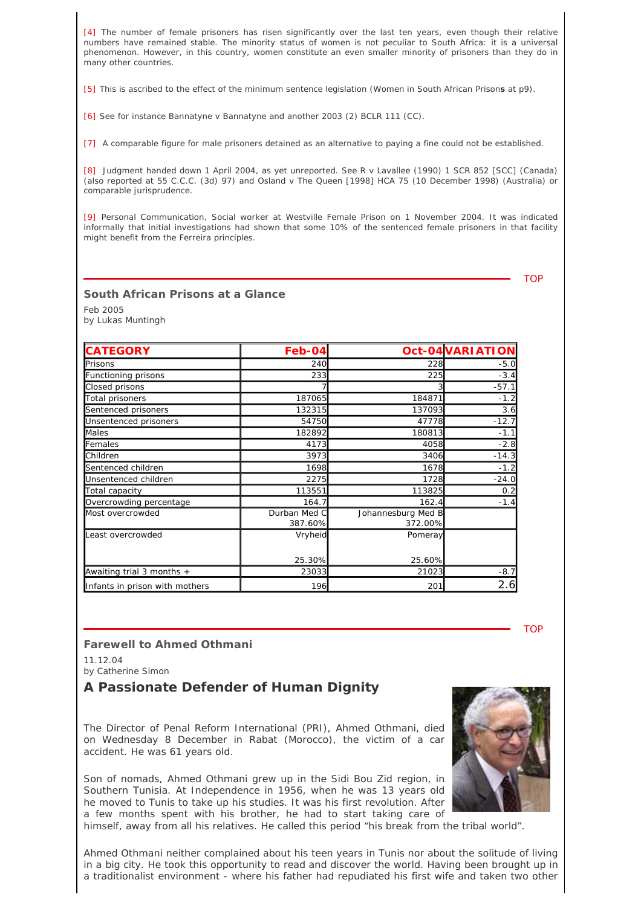[4] The number of female prisoners has risen significantly over the last ten years, even though their relative numbers have remained stable. The minority status of women is not peculiar to South Africa: it is a universal phenomenon. However, in this country, women constitute an even smaller minority of prisoners than they do in many other countries.

[5] This is ascribed to the effect of the minimum sentence legislation (Women in South African Prison**s** at p9).

[6] See for instance *Bannatyne* v *Bannatyne and another* 2003 (2) BCLR 111 (CC).

[7] A comparable figure for male prisoners detained as an alternative to paying a fine could not be established.

[8] Judgment handed down 1 April 2004, as yet unreported. See *R v Lavallee* (1990) 1 SCR 852 [SCC] (Canada) (also reported at 55 C.C.C. (3d) 97) and *Osland v The Queen* [1998] HCA 75 (10 December 1998) (Australia) or comparable jurisprudence.

[9] Personal Communication, Social worker at Westville Female Prison on 1 November 2004. It was indicated informally that initial investigations had shown that some 10% of the sentenced female prisoners in that facility might benefit from the *Ferreira* principles.

**TOP** 

## **South African Prisons at a Glance**

Feb 2005

by Lukas Muntingh

| <b>CATEGORY</b>                | Feb-04                  |                               | Oct-04 VARIATION |
|--------------------------------|-------------------------|-------------------------------|------------------|
| <b>P</b> risons                | 240                     | 228                           | $-5.0$           |
| Functioning prisons            | 233                     | 225                           | $-3.4$           |
| Closed prisons                 |                         |                               | $-57.1$          |
| Total prisoners                | 187065                  | 184871                        | $-1.2$           |
| Sentenced prisoners            | 132315                  | 137093                        | 3.6              |
| Unsentenced prisoners          | 54750                   | 47778                         | $-12.7$          |
| Males                          | 182892                  | 180813                        | $-1.1$           |
| Females                        | 4173                    | 4058                          | $-2.8$           |
| Children                       | 3973                    | 3406                          | $-14.3$          |
| Sentenced children             | 1698                    | 1678                          | $-1.2$           |
| Unsentenced children           | 2275                    | 1728                          | $-24.0$          |
| Total capacity                 | 113551                  | 113825                        | 0.2              |
| Overcrowding percentage        | 164.7                   | 162.4                         | $-1.4$           |
| Most overcrowded               | Durban Med C<br>387.60% | Johannesburg Med B<br>372.00% |                  |
| Least overcrowded              | Vryheid                 | Pomeray                       |                  |
|                                | 25.30%                  | 25.60%                        |                  |
| Awaiting trial 3 months $+$    | 23033                   | 21023                         | $-8.7$           |
| Infants in prison with mothers | 196                     | 201                           | 2.6              |

**TOP** 

## **Farewell to Ahmed Othmani**

11.12.04 by Catherine Simon

# **A Passionate Defender of Human Dignity**

The Director of Penal Reform International (PRI), Ahmed Othmani, died on Wednesday 8 December in Rabat (Morocco), the victim of a car accident. He was 61 years old.

Son of nomads, Ahmed Othmani grew up in the Sidi Bou Zid region, in Southern Tunisia. At Independence in 1956, when he was 13 years old he moved to Tunis to take up his studies. It was his first revolution. After a few months spent with his brother, he had to start taking care of



himself, away from all his relatives. He called this period "his break from the tribal world".

Ahmed Othmani neither complained about his teen years in Tunis nor about the solitude of living in a big city. He took this opportunity to read and discover the world. Having been brought up in a traditionalist environment - where his father had repudiated his first wife and taken two other